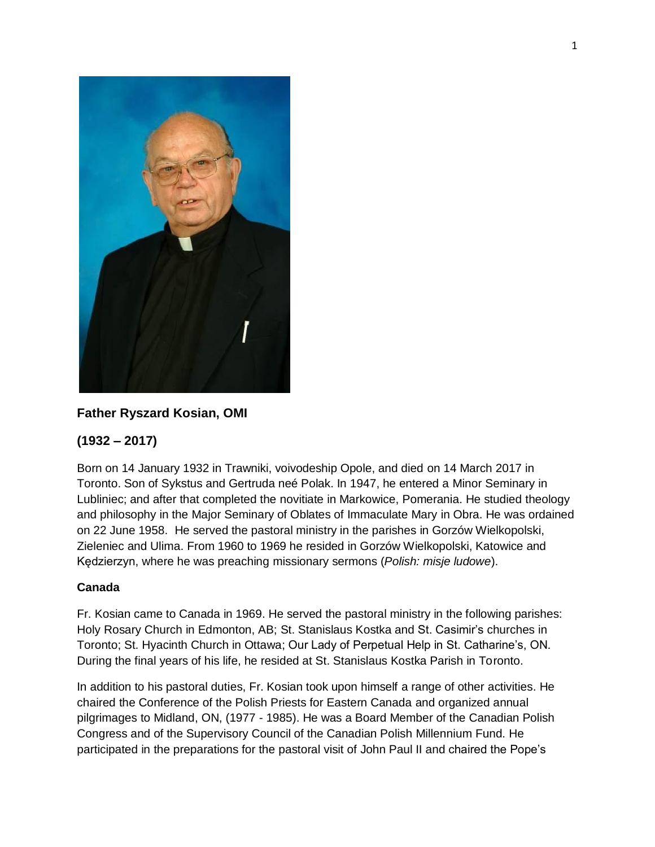

# **Father Ryszard Kosian, OMI**

## **(1932 – 2017)**

Born on 14 January 1932 in Trawniki, voivodeship Opole, and died on 14 March 2017 in Toronto. Son of Sykstus and Gertruda neé Polak. In 1947, he entered a Minor Seminary in Lubliniec; and after that completed the novitiate in Markowice, Pomerania. He studied theology and philosophy in the Major Seminary of Oblates of Immaculate Mary in Obra. He was ordained on 22 June 1958. He served the pastoral ministry in the parishes in Gorzów Wielkopolski, Zieleniec and Ulima. From 1960 to 1969 he resided in Gorzów Wielkopolski, Katowice and Kędzierzyn, where he was preaching missionary sermons (*Polish: misje ludowe*).

### **Canada**

Fr. Kosian came to Canada in 1969. He served the pastoral ministry in the following parishes: Holy Rosary Church in Edmonton, AB; St. Stanislaus Kostka and St. Casimir's churches in Toronto; St. Hyacinth Church in Ottawa; Our Lady of Perpetual Help in St. Catharine's, ON. During the final years of his life, he resided at St. Stanislaus Kostka Parish in Toronto.

In addition to his pastoral duties, Fr. Kosian took upon himself a range of other activities. He chaired the Conference of the Polish Priests for Eastern Canada and organized annual pilgrimages to Midland, ON, (1977 - 1985). He was a Board Member of the Canadian Polish Congress and of the Supervisory Council of the Canadian Polish Millennium Fund. He participated in the preparations for the pastoral visit of John Paul II and chaired the Pope's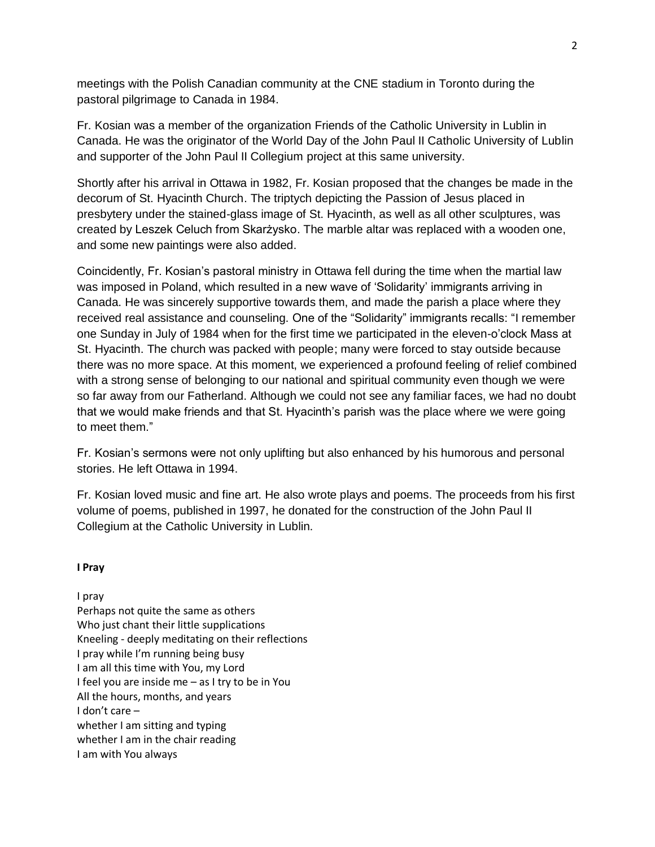meetings with the Polish Canadian community at the CNE stadium in Toronto during the pastoral pilgrimage to Canada in 1984.

Fr. Kosian was a member of the organization Friends of the Catholic University in Lublin in Canada. He was the originator of the World Day of the John Paul II Catholic University of Lublin and supporter of the John Paul II Collegium project at this same university.

Shortly after his arrival in Ottawa in 1982, Fr. Kosian proposed that the changes be made in the decorum of St. Hyacinth Church. The triptych depicting the Passion of Jesus placed in presbytery under the stained-glass image of St. Hyacinth, as well as all other sculptures, was created by Leszek Celuch from Skarżysko. The marble altar was replaced with a wooden one, and some new paintings were also added.

Coincidently, Fr. Kosian's pastoral ministry in Ottawa fell during the time when the martial law was imposed in Poland, which resulted in a new wave of 'Solidarity' immigrants arriving in Canada. He was sincerely supportive towards them, and made the parish a place where they received real assistance and counseling. One of the "Solidarity" immigrants recalls: "I remember one Sunday in July of 1984 when for the first time we participated in the eleven-o'clock Mass at St. Hyacinth. The church was packed with people; many were forced to stay outside because there was no more space. At this moment, we experienced a profound feeling of relief combined with a strong sense of belonging to our national and spiritual community even though we were so far away from our Fatherland. Although we could not see any familiar faces, we had no doubt that we would make friends and that St. Hyacinth's parish was the place where we were going to meet them."

Fr. Kosian's sermons were not only uplifting but also enhanced by his humorous and personal stories. He left Ottawa in 1994.

Fr. Kosian loved music and fine art. He also wrote plays and poems. The proceeds from his first volume of poems, published in 1997, he donated for the construction of the John Paul II Collegium at the Catholic University in Lublin.

### **I Pray**

I pray

Perhaps not quite the same as others Who just chant their little supplications Kneeling - deeply meditating on their reflections I pray while I'm running being busy I am all this time with You, my Lord I feel you are inside me – as I try to be in You All the hours, months, and years I don't care – whether I am sitting and typing whether I am in the chair reading I am with You always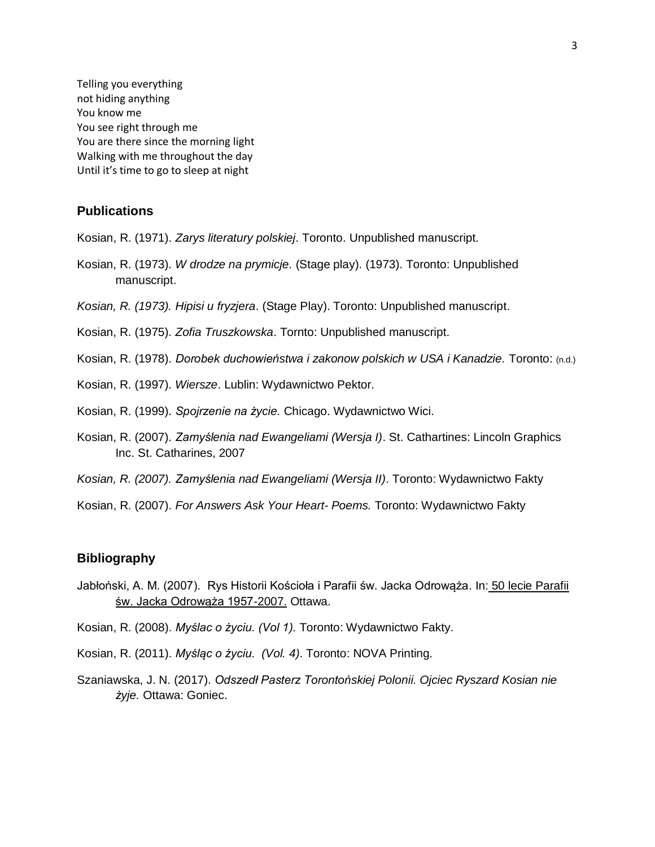Telling you everything not hiding anything You know me You see right through me You are there since the morning light Walking with me throughout the day Until it's time to go to sleep at night

#### **Publications**

Kosian, R. (1971). *Zarys literatury polskiej*. Toronto. Unpublished manuscript.

- Kosian, R. (1973). *W drodze na prymicje.* (Stage play). (1973). Toronto: Unpublished manuscript.
- *Kosian, R. (1973). Hipisi u fryzjera*. (Stage Play). Toronto: Unpublished manuscript.
- Kosian, R. (1975). *Zofia Truszkowska*. Tornto: Unpublished manuscript.
- Kosian, R. (1978). *Dorobek duchowieństwa i zakonow polskich w USA i Kanadzie.* Toronto: (n.d.)
- Kosian, R. (1997). *Wiersze*. Lublin: Wydawnictwo Pektor.
- Kosian, R. (1999). *Spojrzenie na życie.* Chicago. Wydawnictwo Wici.
- Kosian, R. (2007). *Zamyślenia nad Ewangeliami (Wersja I)*. St. Cathartines: Lincoln Graphics Inc. St. Catharines, 2007
- *Kosian, R. (2007). Zamyślenia nad Ewangeliami (Wersja II)*. Toronto: Wydawnictwo Fakty
- Kosian, R. (2007). *For Answers Ask Your Heart Poems.* Toronto: Wydawnictwo Fakty

### **Bibliography**

- Jabłoński, A. M. (2007). Rys Historii Kościoła i Parafii św. Jacka Odrowąża. In: 50 lecie Parafii św. Jacka Odrowąża 1957-2007. Ottawa.
- Kosian, R. (2008). *Myślac o życiu. (Vol 1).* Toronto: Wydawnictwo Fakty.
- Kosian, R. (2011). *Myśląc o życiu. (Vol. 4)*. Toronto: NOVA Printing.
- Szaniawska, J. N. (2017). *Odszedł Pasterz Torontońskiej Polonii. Ojciec Ryszard Kosian nie żyje.* Ottawa: Goniec.